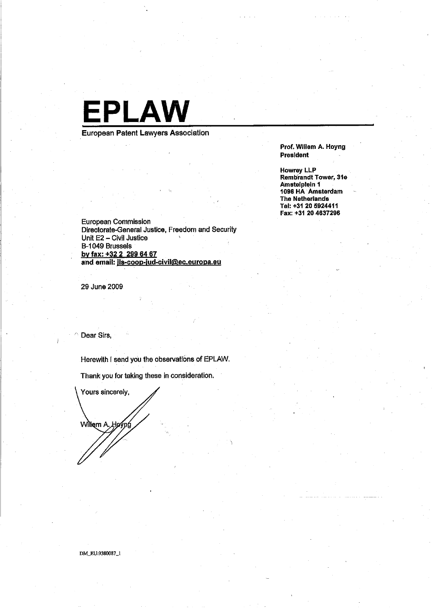

European Patent Lawyers Association

Prof. Willem A. Hoyng President

**Howrey LLP** Rembrandt Tower, 31e Amstelplein 1 1096 HA Amsterdam The Netherlands Tel: +31 20 5924411 Fax: +31 20 4637296

**European Commission** Directorate-General Justice, Freedom and Security Unit E2 - Civil Justice B-1049 Brussels by fax: +32 2 299 64 67 and email: ils-coop-jud-civil@ec.europa.eu

29 June 2009

Dear Sirs,

Herewith I send you the observations of EPLAW.

Thank you for taking these in consideration.

Yours sincerely, Willem A. "Ноу́р

DM\_EU:9380087\_1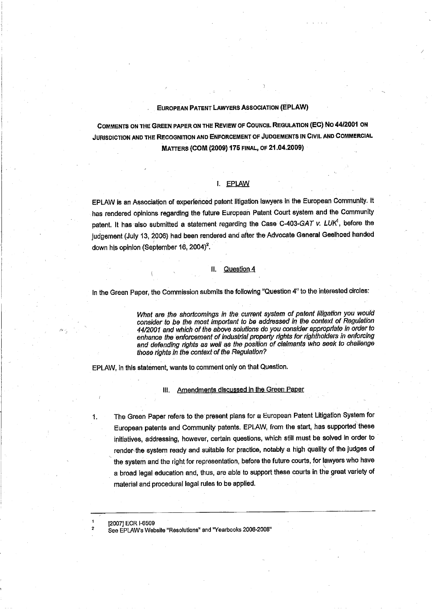#### EUROPEAN PATENT LAWYERS ASSOCIATION (EPLAW)

COMMENTS ON THE GREEN PAPER ON THE ReviEW OF COUNCil ReGULATION (EC) No 44/2001 ON JURISDICTION AND THE RECOGNITION AND ENFORCEMENT OF JUDGEMENTS IN CIVIL AND COMMERCIAL MATTERS (COM. (2009) 175 FINAL, OF 21.04.2009)

# i. EPLAW

EPLAW is an Association of experienced patent litigation lawyers in the European CommunIty. It has rendered opinions regarding the future European Patent Court system and the Community patent. It has also submitted a statement regarding the Case C-403-GAT v. LUK<sup>1</sup>, before the judgement (July 13, 2006) had been rendered and after the Advocate General Geelhoed handed down his opinion (September 16, 2004)<sup>2</sup>.

### II. Question 4

In the Green Paper, the Commission submits the following "Question 4" to the interested circles:

What are the shortcomings in the current system of patent liligation you would consider to be the most important to be addressed in the context of Regulation 4412001 and which of the above solutions do you consider appropriate in order to enhance the enforcement of industrial property rights for rightholders in enforcing and defending rights as well as the position of claimants who seek to challenge those rights in the context of the Regulation?

EPLAW, in this statement, wants to comment only on that Question.

IlL. Amendments discussed in the Green Paper

1. The Green Paper refers to the present plans for a European Patent Litigation System for European patents and Community patents. EPLAW, from the start, has supported these initiatives, addressing, however, certain questions, which still must be solved in order to render-the system ready and suitable for practice, notably a high quality of the judges of the system and the right for representation, before the future courts, for lawyers who have a broad legal education and, thus, are able to support these courts in the great variety of matenal and procedural legal rules to be applied.

12007) ECR 1-6S09

1 2

.<br>د<sup>بو</sup>

See EPlAWs Website "Resolutions" and "Yearbooks 2006-2008"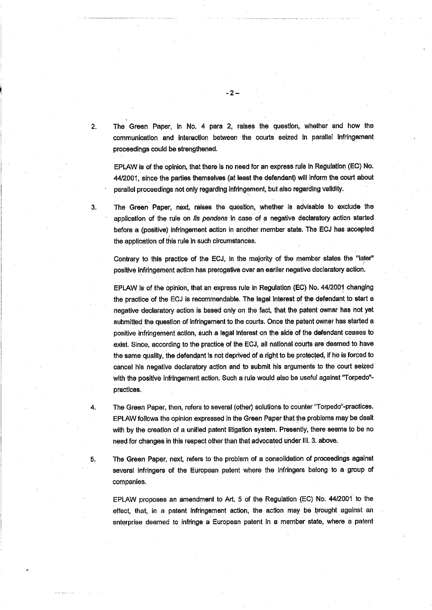2. The Green Paper, in No. 4 para 2, raises the question, whether and how the communication and interaction between the courts seized in parallel infringement proceedings could be strengthened.

-2-

EPLAW is of the opInion, that there is no need for an express rule in Regulation (EO) No. 44/2001, since the parties themselves (at least the defendant) will inform the court about parallel proceedings not only regarding infringement, but also regarding validity.

3. The Green Paper, next, raises the question, whether Is advisable to exclude the application of the rule on lis pendens in case of a negative declaratory action started before a (positive) infringement action in another member state. The ECJ has accpted the application of this rule in such circumstances.

Contrary to this practice of the ECJ, in the majority of the member states the "later" positive infringement action has prerogative over an earlier negative declaratory action.

EPLAW is. of the opinion. that an express rule in Regulation (EC) No. 44/2001 changing the practice of the ECJ is recommendable. The legal interest of the defendant to start a negative declaratory action is based only on the fact, that the patent owner.has not yet submitted the question of infringement to the courts. Once the patent owner has started a positve infringenient action, such a legal interest on the side of the defendant ceases to exist. Since, according to the practice of the ECJ, all national courts are deemed to have the same quality, the defendant is not deprived of a right to be protected, if he is forced to cancel his negative declaratory action and to submit his arguments to the court seized with the positive infringement action. Such a rule would also be useful against "Torpedo"practices.

4. The Green Paper, then, refers to several (other) solutions to counter "Torpedo"-practices. EPLAW follows the opinion expressed in the Green Paper that the problems may be dealt with by the creation of a unified patent litigation system. Presently, there seems to be no need for changes in this respect other than that advocated under II. 3. above.

5. The Green Paper, next. refers to the problem of a consolidation of procedings against several infringers of the European patent where the Infringers belong to a group of companies.

EPLAW proposes an amendment to Art. 5 of the Regulation (EC) No. 44/2001 to the effect, that, in a patent infringement action, the action may be brought against an enterprise deemed to infringe a European patent In a member state, where a patent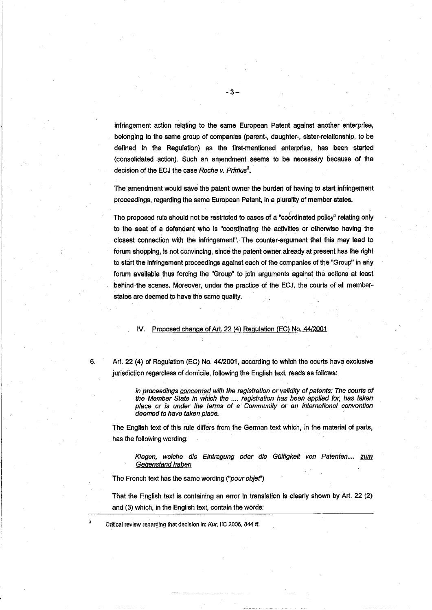infringement action relating to the same European Patent against another enterprise. belonging to the same group of companies (parent-, daughter-, sister-relationship, to be defined in the Regulation) as the first-mentioned enterprise, has been started (consolidated actìon). Such an amendment seems to be necessàry because of the decision of the ECJ the case Roche v. Primus $3$ .

The amendment would save the patent owner the burden of having to start infringement proceedings, regarding the same European Patent, in a plurality of member states.

The proposed rule should not be restricted to cases of a "coordinated policy" relating only to the seat of a defendant who is "coordinating the activities or otherwise having the closest connection with the infringement". The counter-argument that this may lead to forum shopping, is not convincing, sincè the patent owner already at present has the right to start the Infringement proceedings against each of the companies of the "Group" in any forum available thus forcing the "Group" to join arguments against the actions at least behind-the scenes, Moreover, under the practice of the ECJ, the courts of all memberstates are deemed to have the same quality.

#### IV. Proposed change of Art 22 (4) Regulation (EC) No. 44/2001

3

6. Art. 22 (4) of Regulation (EC) No. 4412001, according to which the courts have exclusive jurisdiction regardless of domicile, following the English text, reads as follöws:

> in proceedings concerned with the registration or validity of patents: The courts of the Member State in whioh the .... registration has been applied for. has taken place or is under the terms of a Community or an international convention desmed to have taken place.

The English text of this rule differs from the German text which, in the material of parts, has the following wording:

Klagen, welche die Eintragung oder die Gültigkeit von Patenten.... zum Gegenstand haben

The French text has the same wording ("pour objet')

That the English text is containing an error in translation Is clearly shown by Art. 22 (2) and (3) which, in the English text, contain the words:

Critical review regarding that decision in: Kur, IIC 2006, 844 ff.

- 3-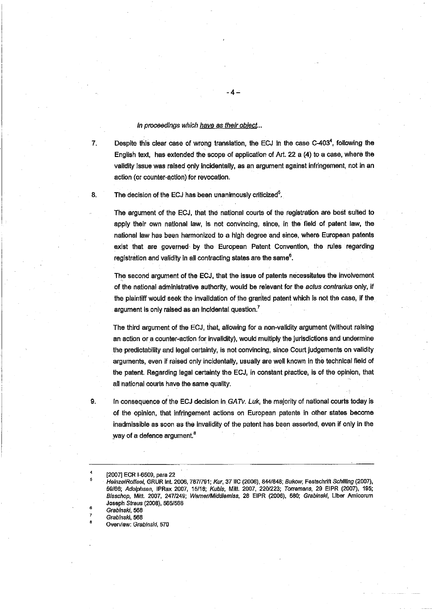## In proceedings which have as their object...

7. Despite this clear case of wrong translation, the ECJ in the case C-4034, following the English text, has extended the scope of application of Art. 22 a (4) to a case, where the validity issue was raised only incidentally, as an argument against infringement, not in an action (or counter-aotion) for revocation.

-4-

8. The decision of the ECJ has been unanimously criticized<sup>5</sup>.

The argument of the ECJ, that the national courts of the registration are best suited to apply their own national law, is not convincing, since, in the field of patent law. the national law has been harmonized to a high degree and since, where European patents exist that are governed by the European Patent Convention, the rules regarding registration and validity in all contracting states are the same<sup>6</sup>.

The second argument of the ECJ, that the issue of patents necessitates the involvement of the national administrative authority, would be relevant for the *actus contrarius* only, if the plaintiff would seek the invalidation of the granted patent which is not the case, if the argument is only raised as an incidental question.<sup>7</sup>

The third argument of the ECJ, that. allowing for a non-validity argument (without raising an action or a counter-action for invalidity), would multiply the jurisdictions and undermine the predictabilty and legal certainty, is not convincing, since Court judgements on validity arguments, even if raised only incidentally, usually are well known in thè technical field of the patent. Regarding legal certainty the ECJ, in constant practice, is of the opinion, that all national courts have the same quality.

9. In consequence of the ECJ decision in GATv. Luk, the majority of national courts today is of the opinion, that infringement actions on European patents In other states becme inadmissible as soon as the invalidity of the patent has been asserted, even if only in the way of a defence argument.<sup>8</sup>

6 7 8

<sup>(20071</sup> ECR 1-6509, para 22

HeinzelRoffael, GRUR Int. 2006, 787/791; Kur, 37 IIC (2006), 844/848; Bukow, Festschrift Schilling (2007), 59/66; Adolphsen, IPRax 2007, 15/18; Kubis, Mitt. 2007, 220/223; Torremans, 29 EIPR (2007), 195; Bisschop, Mitt. 2007, 247/249; Warner/Middlemiss, 28 EIPR (2006), 580; Grabinskl, Liber Amicorum Joseph Straus (2008), 565/568

Grabinski, 568

Grabinski, 568

Overview: Grabinski, 570